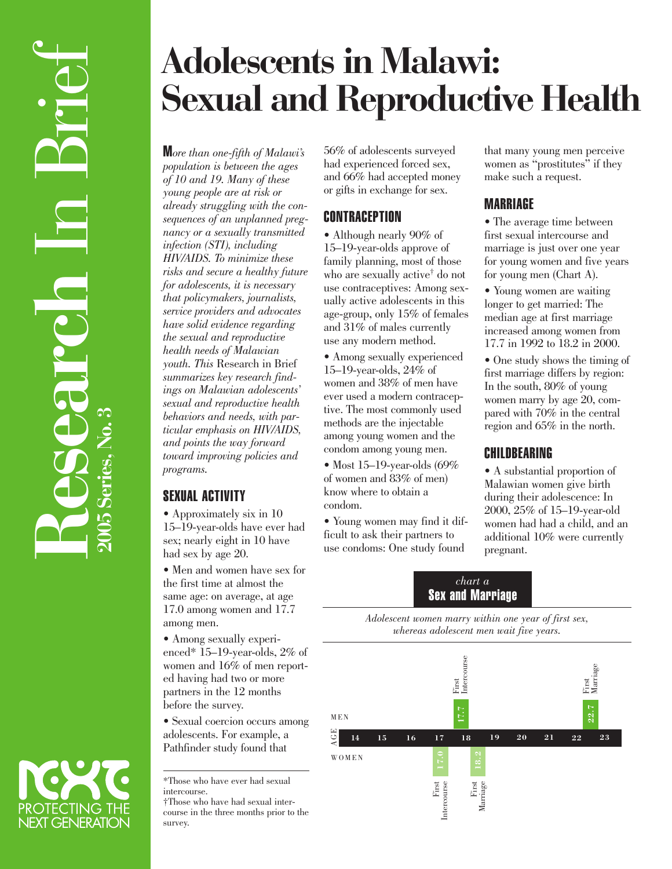# **Adolescents in Malawi: Sexual and Reproductive Health**

M*ore than one-fifth of Malawi's population is between the ages of 10 and 19. Many of these young people are at risk or already struggling with the consequences of an unplanned pregnancy or a sexually transmitted infection (STI), including HIV/AIDS. To minimize these risks and secure a healthy future for adolescents, it is necessary that policymakers, journalists, service providers and advocates have solid evidence regarding the sexual and reproductive health needs of Malawian youth. This* Research in Brief *summarizes key research findings on Malawian adolescents' sexual and reproductive health behaviors and needs, with particular emphasis on HIV/AIDS, and points the way forward toward improving policies and programs.*

### SEXUAL ACTIVITY

• Approximately six in 10 15–19-year-olds have ever had sex; nearly eight in 10 have had sex by age 20.

• Men and women have sex for the first time at almost the same age: on average, at age 17.0 among women and 17.7 among men.

• Among sexually experienced\* 15–19-year-olds, 2% of women and 16% of men reported having had two or more partners in the 12 months before the survey.

• Sexual coercion occurs among adolescents. For example, a Pathfinder study found that

\*Those who have ever had sexual intercourse. †Those who have had sexual intercourse in the three months prior to the survey.

56% of adolescents surveyed had experienced forced sex, and 66% had accepted money or gifts in exchange for sex.

### **CONTRACEPTION**

• Although nearly 90% of 15–19-year-olds approve of family planning, most of those who are sexually active† do not use contraceptives: Among sexually active adolescents in this age-group, only 15% of females and 31% of males currently use any modern method.

• Among sexually experienced 15–19-year-olds, 24% of women and 38% of men have ever used a modern contraceptive. The most commonly used methods are the injectable among young women and the condom among young men.

• Most 15–19-year-olds (69% of women and 83% of men) know where to obtain a condom.

• Young women may find it difficult to ask their partners to use condoms: One study found

that many young men perceive women as "prostitutes" if they make such a request.

## **MARRIAGE**

• The average time between first sexual intercourse and marriage is just over one year for young women and five years for young men (Chart A).

• Young women are waiting longer to get married: The median age at first marriage increased among women from 17.7 in 1992 to 18.2 in 2000.

• One study shows the timing of first marriage differs by region: In the south, 80% of young women marry by age 20, compared with 70% in the central region and 65% in the north.

#### CHILDBEARING

• A substantial proportion of Malawian women give birth during their adolescence: In 2000, 25% of 15–19-year-old women had had a child, and an additional 10% were currently pregnant.

#### *chart a* Sex and Marriage

*Adolescent women marry within one year of first sex, whereas adolescent men wait five years.*



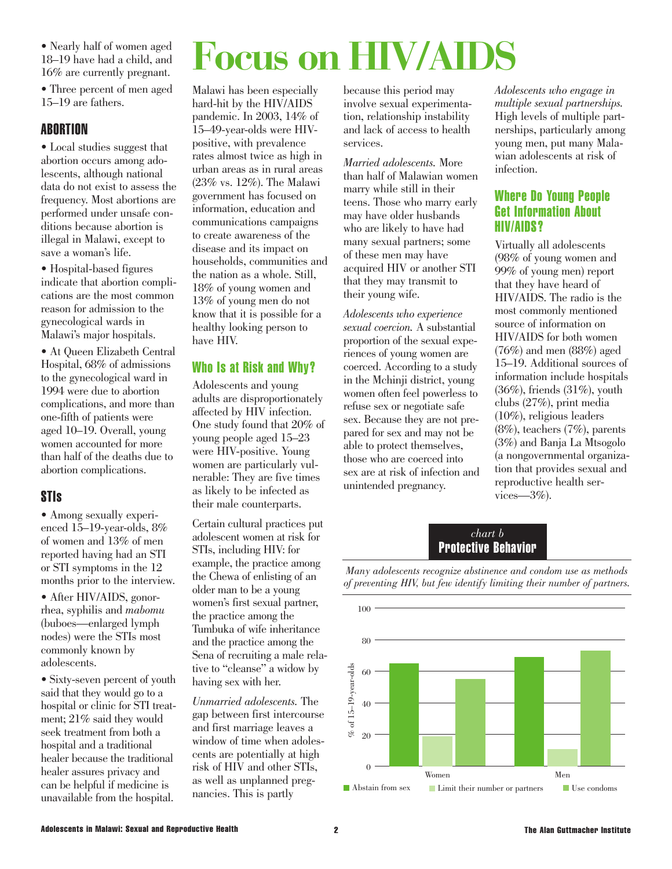• Nearly half of women aged 18–19 have had a child, and 16% are currently pregnant.

• Three percent of men aged 15–19 are fathers.

#### ABORTION

• Local studies suggest that abortion occurs among adolescents, although national data do not exist to assess the frequency. Most abortions are performed under unsafe conditions because abortion is illegal in Malawi, except to save a woman's life.

• Hospital-based figures indicate that abortion complications are the most common reason for admission to the gynecological wards in Malawi's major hospitals.

• At Queen Elizabeth Central Hospital, 68% of admissions to the gynecological ward in 1994 were due to abortion complications, and more than one-fifth of patients were aged 10–19. Overall, young women accounted for more than half of the deaths due to abortion complications.

#### STIs

• Among sexually experienced 15–19-year-olds, 8% of women and 13% of men reported having had an STI or STI symptoms in the 12 months prior to the interview.

• After HIV/AIDS, gonorrhea, syphilis and *mabomu* (buboes—enlarged lymph nodes) were the STIs most commonly known by adolescents.

• Sixty-seven percent of youth said that they would go to a hospital or clinic for STI treatment; 21% said they would seek treatment from both a hospital and a traditional healer because the traditional healer assures privacy and can be helpful if medicine is unavailable from the hospital.

# **Focus on HIV/AID**

Malawi has been especially hard-hit by the HIV/AIDS pandemic. In 2003, 14% of 15–49-year-olds were HIVpositive, with prevalence rates almost twice as high in urban areas as in rural areas (23% vs. 12%). The Malawi government has focused on information, education and communications campaigns to create awareness of the disease and its impact on households, communities and the nation as a whole. Still, 18% of young women and 13% of young men do not know that it is possible for a healthy looking person to have HIV.

#### Who Is at Risk and Why?

Adolescents and young adults are disproportionately affected by HIV infection. One study found that 20% of young people aged 15–23 were HIV-positive. Young women are particularly vulnerable: They are five times as likely to be infected as their male counterparts.

Certain cultural practices put adolescent women at risk for STIs, including HIV: for example, the practice among the Chewa of enlisting of an older man to be a young women's first sexual partner, the practice among the Tumbuka of wife inheritance and the practice among the Sena of recruiting a male relative to "cleanse" a widow by having sex with her.

*Unmarried adolescents.* The gap between first intercourse and first marriage leaves a window of time when adolescents are potentially at high risk of HIV and other STIs, as well as unplanned pregnancies. This is partly

because this period may involve sexual experimentation, relationship instability and lack of access to health services.

*Married adolescents.* More than half of Malawian women marry while still in their teens. Those who marry early may have older husbands who are likely to have had many sexual partners; some of these men may have acquired HIV or another STI that they may transmit to their young wife.

*Adolescents who experience sexual coercion.* A substantial proportion of the sexual experiences of young women are coerced. According to a study in the Mchinji district, young women often feel powerless to refuse sex or negotiate safe sex. Because they are not prepared for sex and may not be able to protect themselves, those who are coerced into sex are at risk of infection and unintended pregnancy.

*Adolescents who engage in multiple sexual partnerships.* High levels of multiple partnerships, particularly among young men, put many Malawian adolescents at risk of infection.

#### Where Do Young People Get Information About HIV/AIDS?

Virtually all adolescents (98% of young women and 99% of young men) report that they have heard of HIV/AIDS. The radio is the most commonly mentioned source of information on HIV/AIDS for both women (76%) and men (88%) aged 15–19. Additional sources of information include hospitals (36%), friends (31%), youth clubs (27%), print media (10%), religious leaders (8%), teachers (7%), parents (3%) and Banja La Mtsogolo (a nongovernmental organization that provides sexual and reproductive health services—3%).

#### *chart b* Protective Behavior

*Many adolescents recognize abstinence and condom use as methods of preventing HIV, but few identify limiting their number of partners.*

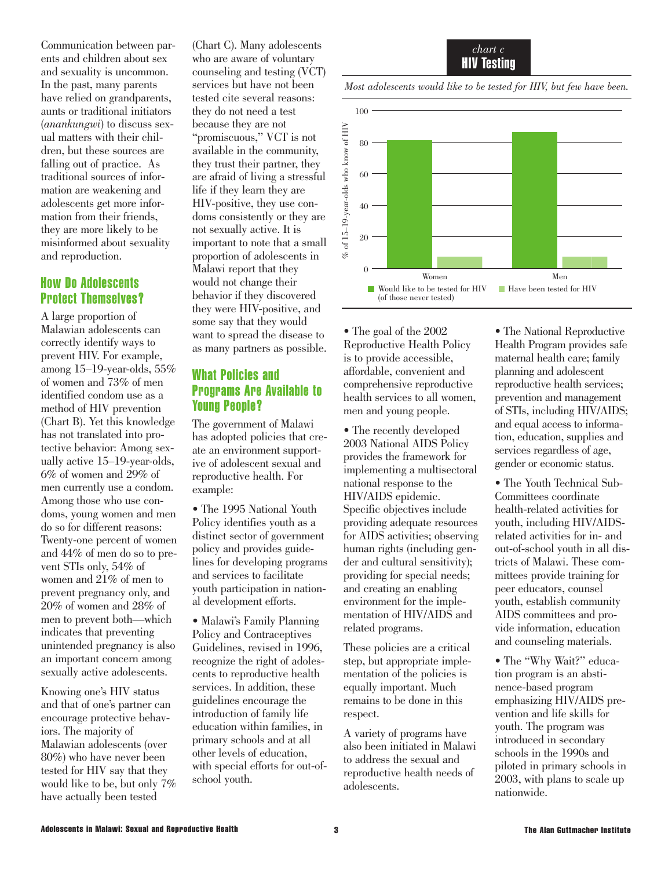Communication between parents and children about sex and sexuality is uncommon. In the past, many parents have relied on grandparents, aunts or traditional initiators (*anankungwi*) to discuss sexual matters with their children, but these sources are falling out of practice. As traditional sources of information are weakening and adolescents get more information from their friends, they are more likely to be misinformed about sexuality and reproduction.

#### How Do Adolescents Protect Themselves?

A large proportion of Malawian adolescents can correctly identify ways to prevent HIV. For example, among 15–19-year-olds, 55% of women and 73% of men identified condom use as a method of HIV prevention (Chart B). Yet this knowledge has not translated into protective behavior: Among sexually active 15–19-year-olds, 6% of women and 29% of men currently use a condom. Among those who use condoms, young women and men do so for different reasons: Twenty-one percent of women and 44% of men do so to prevent STIs only, 54% of women and 21% of men to prevent pregnancy only, and 20% of women and 28% of men to prevent both—which indicates that preventing unintended pregnancy is also an important concern among sexually active adolescents.

Knowing one's HIV status and that of one's partner can encourage protective behaviors. The majority of Malawian adolescents (over 80%) who have never been tested for HIV say that they would like to be, but only 7% have actually been tested

(Chart C). Many adolescents who are aware of voluntary counseling and testing (VCT) services but have not been tested cite several reasons: they do not need a test because they are not "promiscuous," VCT is not available in the community, they trust their partner, they are afraid of living a stressful life if they learn they are HIV-positive, they use condoms consistently or they are not sexually active. It is important to note that a small proportion of adolescents in Malawi report that they would not change their behavior if they discovered they were HIV-positive, and some say that they would want to spread the disease to as many partners as possible.

#### What Policies and Programs Are Available to Young People?

The government of Malawi has adopted policies that create an environment supportive of adolescent sexual and reproductive health. For example:

• The 1995 National Youth Policy identifies youth as a distinct sector of government policy and provides guidelines for developing programs and services to facilitate youth participation in national development efforts.

• Malawi's Family Planning Policy and Contraceptives Guidelines, revised in 1996, recognize the right of adolescents to reproductive health services. In addition, these guidelines encourage the introduction of family life education within families, in primary schools and at all other levels of education, with special efforts for out-ofschool youth.



*Most adolescents would like to be tested for HIV, but few have been.*



• The goal of the 2002 Reproductive Health Policy is to provide accessible, affordable, convenient and comprehensive reproductive health services to all women, men and young people.

• The recently developed 2003 National AIDS Policy provides the framework for implementing a multisectoral national response to the HIV/AIDS epidemic. Specific objectives include providing adequate resources for AIDS activities; observing human rights (including gender and cultural sensitivity); providing for special needs; and creating an enabling environment for the implementation of HIV/AIDS and related programs.

These policies are a critical step, but appropriate implementation of the policies is equally important. Much remains to be done in this respect.

A variety of programs have also been initiated in Malawi to address the sexual and reproductive health needs of adolescents.

• The National Reproductive Health Program provides safe maternal health care; family planning and adolescent reproductive health services; prevention and management of STIs, including HIV/AIDS; and equal access to information, education, supplies and services regardless of age, gender or economic status.

• The Youth Technical Sub-Committees coordinate health-related activities for youth, including HIV/AIDSrelated activities for in- and out-of-school youth in all districts of Malawi. These committees provide training for peer educators, counsel youth, establish community AIDS committees and provide information, education and counseling materials.

• The "Why Wait?" education program is an abstinence-based program emphasizing HIV/AIDS prevention and life skills for youth. The program was introduced in secondary schools in the 1990s and piloted in primary schools in 2003, with plans to scale up nationwide.